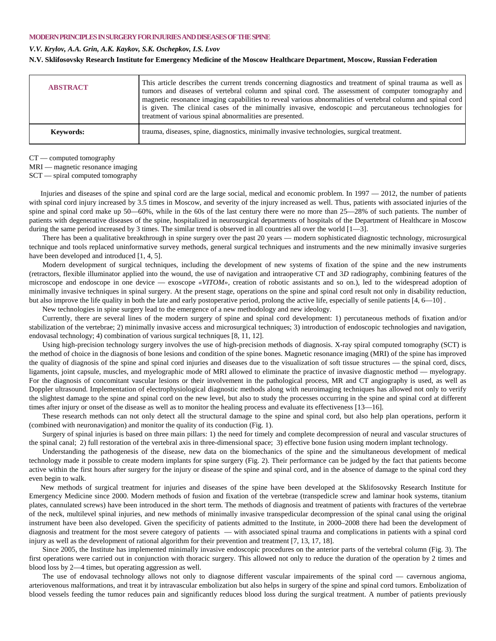## **MODERN PRINCIPLES INSURGERY FORINJURIES AND DISEASES OF THE SPINE**

## *V.V. Krylov, A.A. Grin, A.K. Kaykov, S.K. Oschepkov, I.S. Lvov*

## **N.V. Sklifosovsky Research Institute for Emergency Medicine of the Moscow Healthcare Department, Moscow, Russian Federation**

| <b>ABSTRACT</b>  | This article describes the current trends concerning diagnostics and treatment of spinal trauma as well as<br>tumors and diseases of vertebral column and spinal cord. The assessment of computer tomography and<br>magnetic resonance imaging capabilities to reveal various abnormalities of vertebral column and spinal cord<br>is given. The clinical cases of the minimally invasive, endoscopic and percutaneous technologies for<br>treatment of various spinal abnormalities are presented. |
|------------------|-----------------------------------------------------------------------------------------------------------------------------------------------------------------------------------------------------------------------------------------------------------------------------------------------------------------------------------------------------------------------------------------------------------------------------------------------------------------------------------------------------|
| <b>Keywords:</b> | trauma, diseases, spine, diagnostics, minimally invasive technologies, surgical treatment.                                                                                                                                                                                                                                                                                                                                                                                                          |

CT — computed tomography

MRI — magnetic resonance imaging

SCT — spiral computed tomography

Injuries and diseases of the spine and spinal cord are the large social, medical and economic problem. In 1997 — 2012, the number of patients with spinal cord injury increased by 3.5 times in Moscow, and severity of the injury increased as well. Thus, patients with associated injuries of the spine and spinal cord make up 50—60%, while in the 60s of the last century there were no more than 25—28% of such patients. The number of patients with degenerative diseases of the spine, hospitalized in neurosurgical departments of hospitals of the Department of Healthcare in Moscow during the same period increased by 3 times. The similar trend is observed in all countries all over the world  $[1-3]$ .

There has been a qualitative breakthrough in spine surgery over the past 20 years — modern sophisticated diagnostic technology, microsurgical technique and tools replaced uninformative survey methods, general surgical techniques and instruments and the new minimally invasive surgeries have been developed and introduced [1, 4, 5].

Modern development of surgical techniques, including the development of new systems of fixation of the spine and the new instruments (retractors, flexible illuminator applied into the wound, the use of navigation and intraoperative CT and 3*D* radiography, combining features of the microscope and endoscope in one device — exoscope *«VITOM»,* creation of robotic assistants and so on.), led to the widespread adoption of minimally invasive techniques in spinal surgery. At the present stage, operations on the spine and spinal cord result not only in disability reduction, but also improve the life quality in both the late and early postoperative period, prolong the active life, especially of senile patients [4, 6—10] .

New technologies in spine surgery lead to the emergence of a new methodology and new ideology.

Currently, there are several lines of the modern surgery of spine and spinal cord development: 1) percutaneous methods of fixation and/or stabilization of the vertebrae; 2) minimally invasive access and microsurgical techniques; 3) introduction of endoscopic technologies and navigation, endovasal technology; 4) combination of various surgical techniques [8, 11, 12].

Using high-precision technology surgery involves the use of high-precision methods of diagnosis. X-ray spiral computed tomography (SCT) is the method of choice in the diagnosis of bone lesions and condition of the spine bones. Magnetic resonance imaging (MRI) of the spine has improved the quality of diagnosis of the spine and spinal cord injuries and diseases due to the visualization of soft tissue structures — the spinal cord, discs, ligaments, joint capsule, muscles, and myelographic mode of MRI allowed to eliminate the practice of invasive diagnostic method — myelograpy. For the diagnosis of concomitant vascular lesions or their involvement in the pathological process, MR and CT angiography is used, as well as Doppler ultrasound. Implementation of electrophysiological diagnostic methods along with neuroimaging techniques has allowed not only to verify the slightest damage to the spine and spinal cord on the new level, but also to study the processes occurring in the spine and spinal cord at different times after injury or onset of the disease as well as to monitor the healing process and evaluate its effectiveness [13—16].

These research methods can not only detect all the structural damage to the spine and spinal cord, but also help plan operations, perform it (combined with neuronavigation) and monitor the quality of its conduction (Fig. 1).

Surgery of spinal injuries is based on three main pillars: 1) the need for timely and complete decompression of neural and vascular structures of the spinal canal; 2) full restoration of the vertebral axis in three-dimensional space; 3) effective bone fusion using modern implant technology.

Understanding the pathogenesis of the disease, new data on the biomechanics of the spine and the simultaneous development of medical technology made it possible to create modern implants for spine surgery (Fig. 2). Their performance can be judged by the fact that patients become active within the first hours after surgery for the injury or disease of the spine and spinal cord, and in the absence of damage to the spinal cord they even begin to walk.

New methods of surgical treatment for injuries and diseases of the spine have been developed at the Sklifosovsky Research Institute for Emergency Medicine since 2000. Modern methods of fusion and fixation of the vertebrae (transpedicle screw and laminar hook systems, titanium plates, cannulated screws) have been introduced in the short term. The methods of diagnosis and treatment of patients with fractures of the vertebrae of the neck, multilevel spinal injuries, and new methods of minimally invasive transpedicular decompression of the spinal canal using the original instrument have been also developed. Given the specificity of patients admitted to the Institute, in 2000–2008 there had been the development of diagnosis and treatment for the most severe category of patients — with associated spinal trauma and complications in patients with a spinal cord injury as well as the development of rational algorithm for their prevention and treatment [7, 13, 17, 18].

Since 2005, the Institute has implemented minimally invasive endoscopic procedures on the anterior parts of the vertebral column (Fig. 3). The first operations were carried out in conjunction with thoracic surgery. This allowed not only to reduce the duration of the operation by 2 times and blood loss by 2—4 times, but operating aggression as well.

The use of endovasal technology allows not only to diagnose different vascular impairements of the spinal cord — cavernous angioma, arteriovenous malformations, and treat it by intravascular embolization but also helps in surgery of the spine and spinal cord tumors. Embolization of blood vessels feeding the tumor reduces pain and significantly reduces blood loss during the surgical treatment. A number of patients previously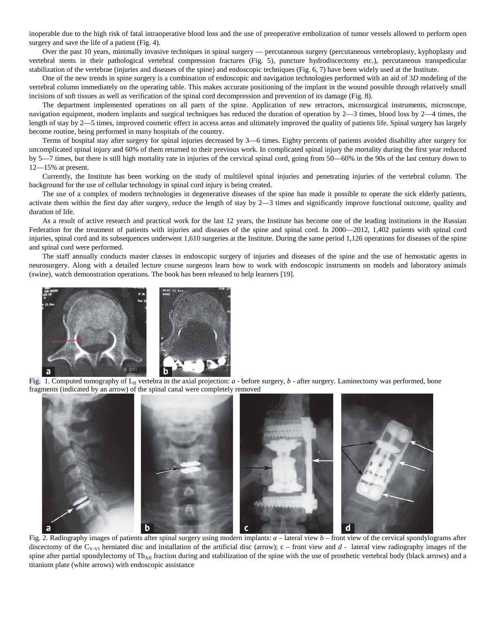inoperable due to the high risk of fatal intraoperative blood loss and the use of preoperative embolization of tumor vessels allowed to perform open surgery and save the life of a patient (Fig. 4).

Over the past 10 years, minimally invasive techniques in spinal surgery — percutaneous surgery (percutaneous vertebroplasty, kyphoplasty and vertebral stents in their pathological vertebral compression fractures (Fig. 5), puncture hydrodiscectomy etc.), percutaneous transpedicular stabilization of the vertebrae (injuries and diseases of the spine) and endoscopic techniques (Fig. 6, 7) have been widely used at the Institute.

One of the new trends in spine surgery is a combination of endoscopic and navigation technologies performed with an aid of 3*D* modeling of the vertebral column immediately on the operating table. This makes accurate positioning of the implant in the wound possible through relatively small incisions of soft tissues as well as verification of the spinal cord decompression and prevention of its damage (Fig. 8).

The department implemented operations on all parts of the spine. Application of new retractors, microsurgical instruments, microscope, navigation equipment, modern implants and surgical techniques has reduced the duration of operation by 2—3 times, blood loss by 2—4 times, the length of stay by 2—5 times, improved cosmetic effect in access areas and ultimately improved the quality of patients life. Spinal surgery has largely become routine, being performed in many hospitals of the country.

Terms of hospital stay after surgery for spinal injuries decreased by 3—6 times. Eighty percents of patients avoided disability after surgery for uncomplicated spinal injury and 60% of them returned to their previous work. In complicated spinal injury the mortality during the first year reduced by 5—7 times, but there is still high mortality rate in injuries of the cervical spinal cord, going from 50—60% in the 90s of the last century down to 12—15% at present.

Currently, the Institute has been working on the study of multilevel spinal injuries and penetrating injuries of the vertebral column. The background for the use of cellular technology in spinal cord injury is being created.

The use of a complex of modern technologies in degenerative diseases of the spine has made it possible to operate the sick elderly patients, activate them within the first day after surgery, reduce the length of stay by  $2-3$  times and significantly improve functional outcome, quality and duration of life.

As a result of active research and practical work for the last 12 years, the Institute has become one of the leading institutions in the Russian Federation for the treatment of patients with injuries and diseases of the spine and spinal cord. In 2000—2012, 1,402 patients with spinal cord injuries, spinal cord and its subsequences underwent 1,610 surgeries at the Institute. During the same period 1,126 operations for diseases of the spine and spinal cord were performed.

The staff annually conducts master classes in endoscopic surgery of injuries and diseases of the spine and the use of hemostatic agents in neurosurgery. Along with a detailed lecture course surgeons learn how to work with endoscopic instruments on models and laboratory animals (swine), watch demonstration operations. The book has been released to help learners [19].



Fig. 1. Computed tomography of  $L_{II}$  vertebra in the axial projection:  $a$  - before surgery,  $b$  - after surgery. Laminectomy was performed, bone fragments (indicated by an arrow) of the spinal canal were completely removed



Fig. 2. Radiography images of patients after spinal surgery using modern implants: *a* – lateral view *b* – front view of the cervical spondylograms after discectomy of the C<sub>V-VI</sub> herniated disc and installation of the artificial disc (arrow); c – front view and d - lateral view radiography images of the spine after partial spondylectomy of Th<sub>XII</sub> fraction during and stabilization of the spine with the use of prosthetic vertebral body (black arrows) and a titanium plate (white arrows) with endoscopic assistance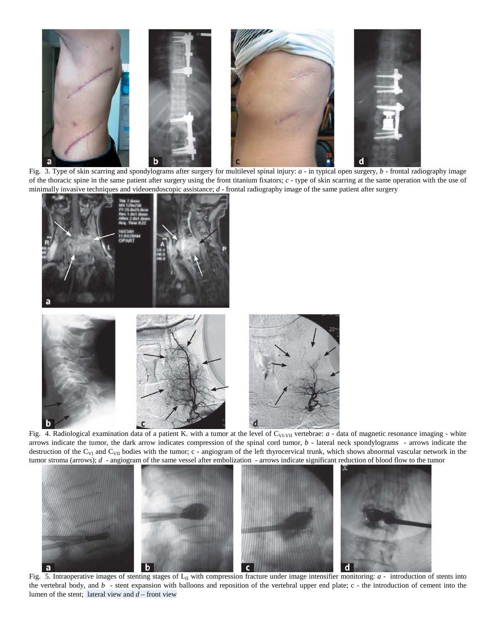

Fig. 3. Type of skin scarring and spondylograms after surgery for multilevel spinal injury: *a -* in typical open surgery, *b -* frontal radiography image of the thoracic spine in the same patient after surgery using the front titanium fixators; *c -* type of skin scarring at the same operation with the use of minimally invasive techniques and videoendoscopic assistance; *d -* frontal radiography image of the same patient after surgery



Fig. 4. Radiological examination data of a patient K. with a tumor at the level of  $C_{VI-VII}$  vertebrae:  $a$  - data of magnetic resonance imaging - white arrows indicate the tumor, the dark arrow indicates compression of the spinal cord tumor, *b -* lateral neck spondylograms - arrows indicate the destruction of the C<sub>VI</sub> and C<sub>VII</sub> bodies with the tumor; c - angiogram of the left thyrocervical trunk, which shows abnormal vascular network in the tumor stroma (arrows); *d -* angiogram of the same vessel after embolization - arrows indicate significant reduction of blood flow to the tumor



Fig. 5. Intraoperative images of stenting stages of  $L_{II}$  with compression fracture under image intensifier monitoring:  $a$  - introduction of stents into the vertebral body, and *b* - stent expansion with balloons and reposition of the vertebral upper end plate; c - the introduction of cement into the lumen of the stent; lateral view and *d* – front view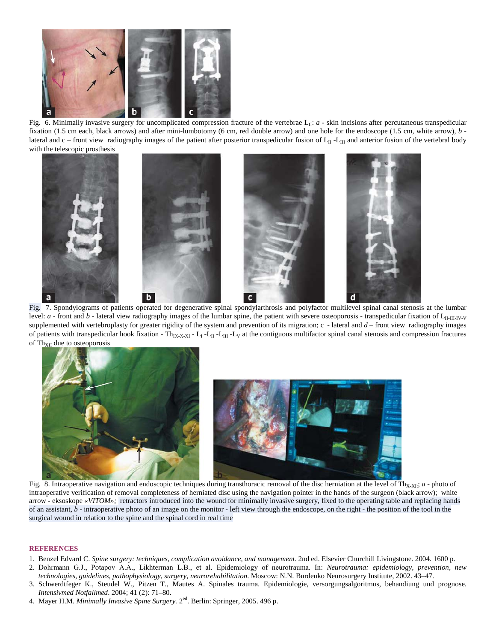

Fig. 6. Minimally invasive surgery for uncomplicated compression fracture of the vertebrae L<sub>II</sub>: *a* - skin incisions after percutaneous transpedicular fixation (1.5 cm each, black arrows) and after mini-lumbotomy (6 cm, red double arrow) and one hole for the endoscope (1.5 cm, white arrow), *b* lateral and c – front view radiography images of the patient after posterior transpedicular fusion of  $L_{II}$  -L<sub>III</sub> and anterior fusion of the vertebral body with the telescopic prosthesis



Fig. 7. Spondylograms of patients operated for degenerative spinal spondylarthrosis and polyfactor multilevel spinal canal stenosis at the lumbar level:  $a$  - front and  $b$  - lateral view radiography images of the lumbar spine, the patient with severe osteoporosis - transpedicular fixation of  $L_{II-III-IV-V}$ supplemented with vertebroplasty for greater rigidity of the system and prevention of its migration; c *-* lateral and *d* – front view radiography images of patients with transpedicular hook fixation - Th<sub>IX-X-XI</sub> - L<sub>I</sub> -L<sub>II</sub> -L<sub>II</sub> -L<sub>V</sub> at the contiguous multifactor spinal canal stenosis and compression fractures of  $Th_{XII}$  due to osteoporosis



Fig. 8. Intraoperative navigation and endoscopic techniques during transthoracic removal of the disc herniation at the level of Th<sub>X-XI</sub>: *a* - photo of intraoperative verification of removal completeness of herniated disc using the navigation pointer in the hands of the surgeon (black arrow); white arrow - eksoskope *«VITOM»;* retractors introduced into the wound for minimally invasive surgery, fixed to the operating table and replacing hands of an assistant, *b -* intraoperative photo of an image on the monitor - left view through the endoscope, on the right - the position of the tool in the surgical wound in relation to the spine and the spinal cord in real time

## **REFERENCES**

- 1. Benzel Edvard C. *Spine surgery: techniques, complication avoidance, and management.* 2nd ed. Elsevier Churchill Livingstone. 2004. 1600 p.
- 2. Dohrmann G.J., Potapov А.А., Likhterman L.В., et al. Epidemiology of neurotrauma. In: *Neurotrauma: epidemiology, prevention, new technologies, guidelines, pathophysiology, surgery, neurorehabilitation*. Moscow: N.N. Burdenko Neurosurgery Institute, 2002. 43–47.
- 3. Schwerdtfeger K., Steudel W., Pitzen T., Mautes A. Spinales trauma. Epidemiologie, versorgungsalgoritmus, behandiung und prognose. *Intensivmed Notfallmed*. 2004; 41 (2): 71–80.
- 4. Mayer H.M. *Minimally Invasive Spine Surgery.* 2ed. Berlin: Springer, 2005. 496 p.